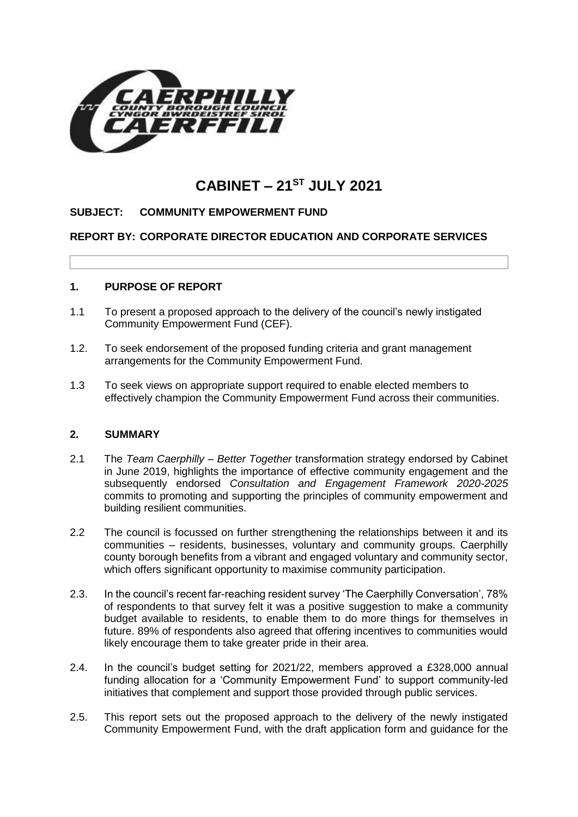

# **CABINET – 21ST JULY 2021**

## **SUBJECT: COMMUNITY EMPOWERMENT FUND**

## **REPORT BY: CORPORATE DIRECTOR EDUCATION AND CORPORATE SERVICES**

## **1. PURPOSE OF REPORT**

- 1.1 To present a proposed approach to the delivery of the council's newly instigated Community Empowerment Fund (CEF).
- 1.2. To seek endorsement of the proposed funding criteria and grant management arrangements for the Community Empowerment Fund.
- 1.3 To seek views on appropriate support required to enable elected members to effectively champion the Community Empowerment Fund across their communities.

## **2. SUMMARY**

- 2.1 The *Team Caerphilly – Better Together* transformation strategy endorsed by Cabinet in June 2019, highlights the importance of effective community engagement and the subsequently endorsed *Consultation and Engagement Framework 2020-2025* commits to promoting and supporting the principles of community empowerment and building resilient communities.
- 2.2 The council is focussed on further strengthening the relationships between it and its communities – residents, businesses, voluntary and community groups. Caerphilly county borough benefits from a vibrant and engaged voluntary and community sector, which offers significant opportunity to maximise community participation.
- 2.3. In the council's recent far-reaching resident survey 'The Caerphilly Conversation', 78% of respondents to that survey felt it was a positive suggestion to make a community budget available to residents, to enable them to do more things for themselves in future. 89% of respondents also agreed that offering incentives to communities would likely encourage them to take greater pride in their area.
- 2.4. In the council's budget setting for 2021/22, members approved a £328,000 annual funding allocation for a 'Community Empowerment Fund' to support community-led initiatives that complement and support those provided through public services.
- 2.5. This report sets out the proposed approach to the delivery of the newly instigated Community Empowerment Fund, with the draft application form and guidance for the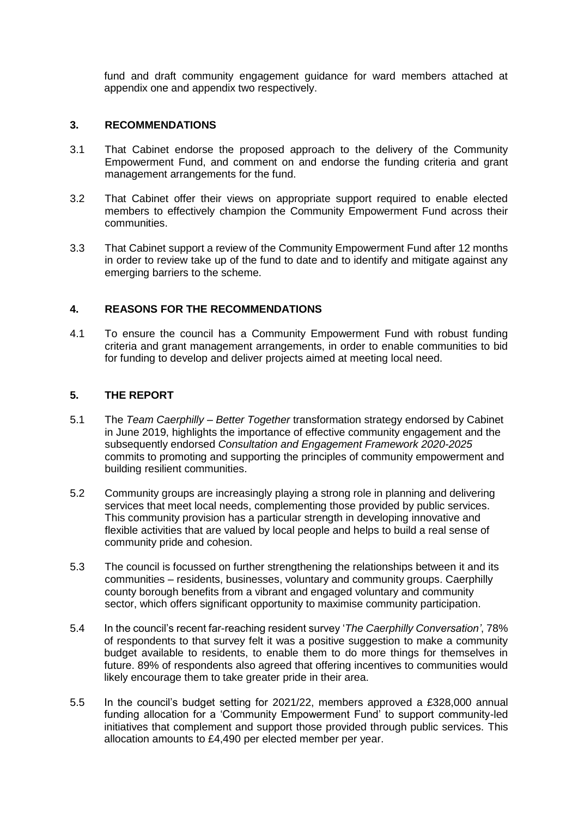fund and draft community engagement guidance for ward members attached at appendix one and appendix two respectively.

# **3. RECOMMENDATIONS**

- 3.1 That Cabinet endorse the proposed approach to the delivery of the Community Empowerment Fund, and comment on and endorse the funding criteria and grant management arrangements for the fund.
- 3.2 That Cabinet offer their views on appropriate support required to enable elected members to effectively champion the Community Empowerment Fund across their communities.
- 3.3 That Cabinet support a review of the Community Empowerment Fund after 12 months in order to review take up of the fund to date and to identify and mitigate against any emerging barriers to the scheme.

# **4. REASONS FOR THE RECOMMENDATIONS**

4.1 To ensure the council has a Community Empowerment Fund with robust funding criteria and grant management arrangements, in order to enable communities to bid for funding to develop and deliver projects aimed at meeting local need.

# **5. THE REPORT**

- 5.1 The *Team Caerphilly – Better Together* transformation strategy endorsed by Cabinet in June 2019, highlights the importance of effective community engagement and the subsequently endorsed *Consultation and Engagement Framework 2020-2025* commits to promoting and supporting the principles of community empowerment and building resilient communities.
- 5.2 Community groups are increasingly playing a strong role in planning and delivering services that meet local needs, complementing those provided by public services. This community provision has a particular strength in developing innovative and flexible activities that are valued by local people and helps to build a real sense of community pride and cohesion.
- 5.3 The council is focussed on further strengthening the relationships between it and its communities – residents, businesses, voluntary and community groups. Caerphilly county borough benefits from a vibrant and engaged voluntary and community sector, which offers significant opportunity to maximise community participation.
- 5.4 In the council's recent far-reaching resident survey '*The Caerphilly Conversation'*, 78% of respondents to that survey felt it was a positive suggestion to make a community budget available to residents, to enable them to do more things for themselves in future. 89% of respondents also agreed that offering incentives to communities would likely encourage them to take greater pride in their area.
- 5.5 In the council's budget setting for 2021/22, members approved a £328,000 annual funding allocation for a 'Community Empowerment Fund' to support community-led initiatives that complement and support those provided through public services. This allocation amounts to £4,490 per elected member per year.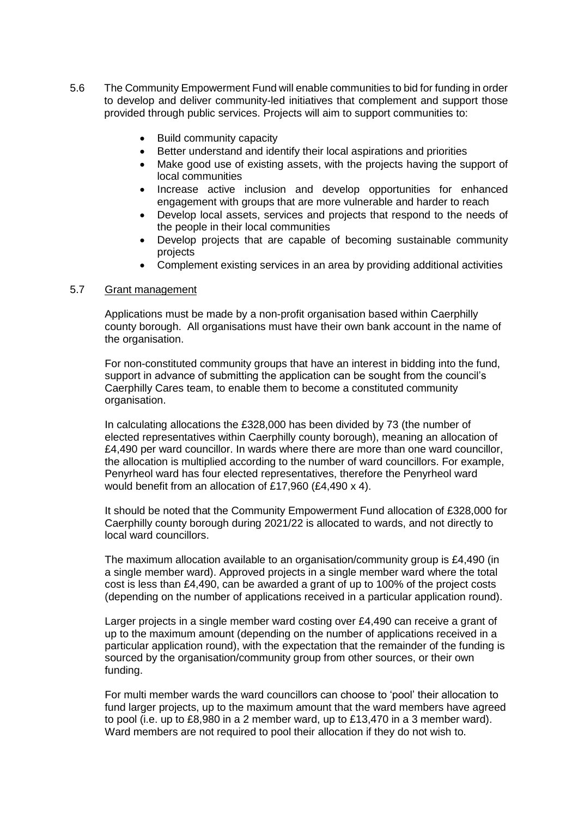- 5.6 The Community Empowerment Fund will enable communities to bid for funding in order to develop and deliver community-led initiatives that complement and support those provided through public services. Projects will aim to support communities to:
	- Build community capacity
	- Better understand and identify their local aspirations and priorities
	- Make good use of existing assets, with the projects having the support of local communities
	- Increase active inclusion and develop opportunities for enhanced engagement with groups that are more vulnerable and harder to reach
	- Develop local assets, services and projects that respond to the needs of the people in their local communities
	- Develop projects that are capable of becoming sustainable community projects
	- Complement existing services in an area by providing additional activities

#### 5.7 Grant management

Applications must be made by a non-profit organisation based within Caerphilly county borough. All organisations must have their own bank account in the name of the organisation.

For non-constituted community groups that have an interest in bidding into the fund, support in advance of submitting the application can be sought from the council's Caerphilly Cares team, to enable them to become a constituted community organisation.

In calculating allocations the £328,000 has been divided by 73 (the number of elected representatives within Caerphilly county borough), meaning an allocation of £4,490 per ward councillor. In wards where there are more than one ward councillor, the allocation is multiplied according to the number of ward councillors. For example, Penyrheol ward has four elected representatives, therefore the Penyrheol ward would benefit from an allocation of £17,960 (£4,490 x 4).

It should be noted that the Community Empowerment Fund allocation of £328,000 for Caerphilly county borough during 2021/22 is allocated to wards, and not directly to local ward councillors.

The maximum allocation available to an organisation/community group is £4,490 (in a single member ward). Approved projects in a single member ward where the total cost is less than £4,490, can be awarded a grant of up to 100% of the project costs (depending on the number of applications received in a particular application round).

Larger projects in a single member ward costing over £4,490 can receive a grant of up to the maximum amount (depending on the number of applications received in a particular application round), with the expectation that the remainder of the funding is sourced by the organisation/community group from other sources, or their own funding.

For multi member wards the ward councillors can choose to 'pool' their allocation to fund larger projects, up to the maximum amount that the ward members have agreed to pool (i.e. up to £8,980 in a 2 member ward, up to £13,470 in a 3 member ward). Ward members are not required to pool their allocation if they do not wish to.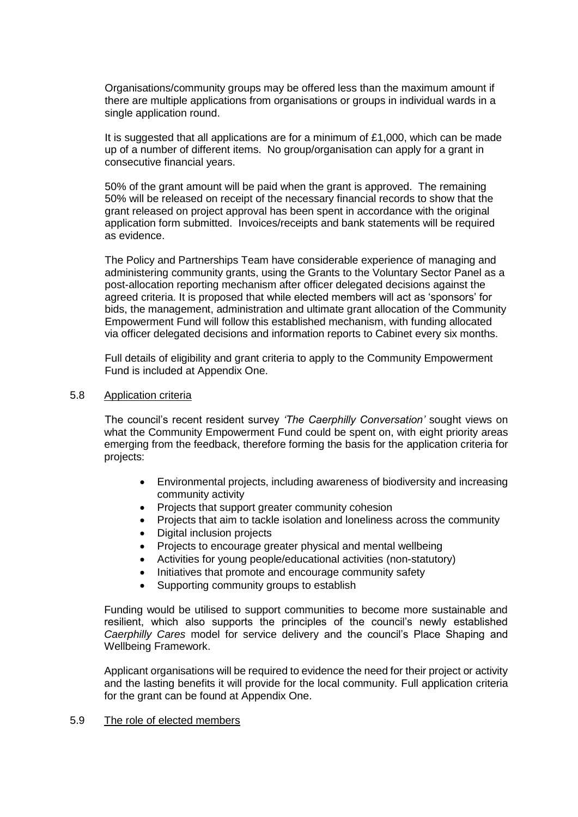Organisations/community groups may be offered less than the maximum amount if there are multiple applications from organisations or groups in individual wards in a single application round.

It is suggested that all applications are for a minimum of £1,000, which can be made up of a number of different items. No group/organisation can apply for a grant in consecutive financial years.

50% of the grant amount will be paid when the grant is approved. The remaining 50% will be released on receipt of the necessary financial records to show that the grant released on project approval has been spent in accordance with the original application form submitted. Invoices/receipts and bank statements will be required as evidence.

The Policy and Partnerships Team have considerable experience of managing and administering community grants, using the Grants to the Voluntary Sector Panel as a post-allocation reporting mechanism after officer delegated decisions against the agreed criteria. It is proposed that while elected members will act as 'sponsors' for bids, the management, administration and ultimate grant allocation of the Community Empowerment Fund will follow this established mechanism, with funding allocated via officer delegated decisions and information reports to Cabinet every six months.

Full details of eligibility and grant criteria to apply to the Community Empowerment Fund is included at Appendix One.

#### 5.8 Application criteria

The council's recent resident survey *'The Caerphilly Conversation'* sought views on what the Community Empowerment Fund could be spent on, with eight priority areas emerging from the feedback, therefore forming the basis for the application criteria for projects:

- Environmental projects, including awareness of biodiversity and increasing community activity
- Projects that support greater community cohesion
- Projects that aim to tackle isolation and loneliness across the community
- Digital inclusion projects
- Projects to encourage greater physical and mental wellbeing
- Activities for young people/educational activities (non-statutory)
- Initiatives that promote and encourage community safety
- Supporting community groups to establish

Funding would be utilised to support communities to become more sustainable and resilient, which also supports the principles of the council's newly established *Caerphilly Cares* model for service delivery and the council's Place Shaping and Wellbeing Framework.

Applicant organisations will be required to evidence the need for their project or activity and the lasting benefits it will provide for the local community. Full application criteria for the grant can be found at Appendix One.

#### 5.9 The role of elected members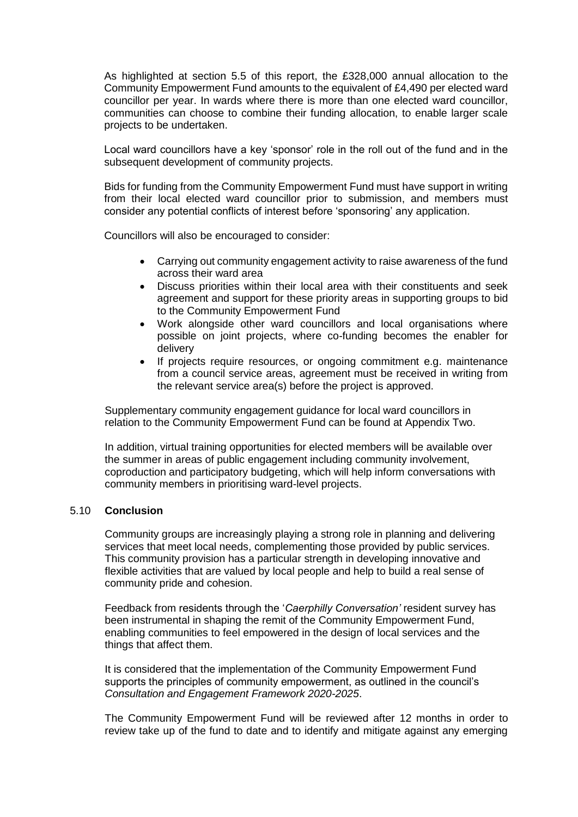As highlighted at section 5.5 of this report, the £328,000 annual allocation to the Community Empowerment Fund amounts to the equivalent of £4,490 per elected ward councillor per year. In wards where there is more than one elected ward councillor, communities can choose to combine their funding allocation, to enable larger scale projects to be undertaken.

Local ward councillors have a key 'sponsor' role in the roll out of the fund and in the subsequent development of community projects.

Bids for funding from the Community Empowerment Fund must have support in writing from their local elected ward councillor prior to submission, and members must consider any potential conflicts of interest before 'sponsoring' any application.

Councillors will also be encouraged to consider:

- Carrying out community engagement activity to raise awareness of the fund across their ward area
- Discuss priorities within their local area with their constituents and seek agreement and support for these priority areas in supporting groups to bid to the Community Empowerment Fund
- Work alongside other ward councillors and local organisations where possible on joint projects, where co-funding becomes the enabler for delivery
- If projects require resources, or ongoing commitment e.g. maintenance from a council service areas, agreement must be received in writing from the relevant service area(s) before the project is approved.

Supplementary community engagement guidance for local ward councillors in relation to the Community Empowerment Fund can be found at Appendix Two.

In addition, virtual training opportunities for elected members will be available over the summer in areas of public engagement including community involvement, coproduction and participatory budgeting, which will help inform conversations with community members in prioritising ward-level projects.

#### 5.10 **Conclusion**

Community groups are increasingly playing a strong role in planning and delivering services that meet local needs, complementing those provided by public services. This community provision has a particular strength in developing innovative and flexible activities that are valued by local people and help to build a real sense of community pride and cohesion.

Feedback from residents through the '*Caerphilly Conversation'* resident survey has been instrumental in shaping the remit of the Community Empowerment Fund, enabling communities to feel empowered in the design of local services and the things that affect them.

It is considered that the implementation of the Community Empowerment Fund supports the principles of community empowerment, as outlined in the council's *Consultation and Engagement Framework 2020-2025*.

The Community Empowerment Fund will be reviewed after 12 months in order to review take up of the fund to date and to identify and mitigate against any emerging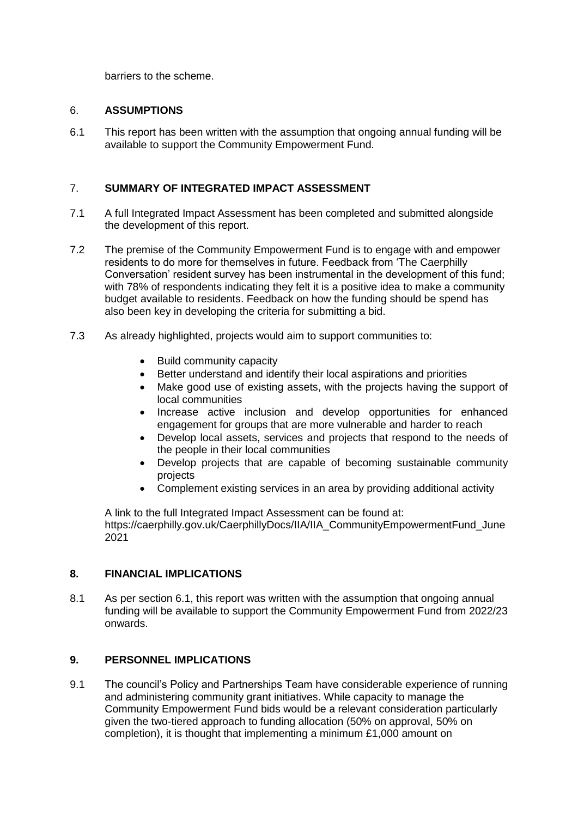barriers to the scheme.

### 6. **ASSUMPTIONS**

6.1 This report has been written with the assumption that ongoing annual funding will be available to support the Community Empowerment Fund.

## 7. **SUMMARY OF INTEGRATED IMPACT ASSESSMENT**

- 7.1 A full Integrated Impact Assessment has been completed and submitted alongside the development of this report.
- 7.2 The premise of the Community Empowerment Fund is to engage with and empower residents to do more for themselves in future. Feedback from 'The Caerphilly Conversation' resident survey has been instrumental in the development of this fund; with 78% of respondents indicating they felt it is a positive idea to make a community budget available to residents. Feedback on how the funding should be spend has also been key in developing the criteria for submitting a bid.
- 7.3 As already highlighted, projects would aim to support communities to:
	- Build community capacity
	- Better understand and identify their local aspirations and priorities
	- Make good use of existing assets, with the projects having the support of local communities
	- Increase active inclusion and develop opportunities for enhanced engagement for groups that are more vulnerable and harder to reach
	- Develop local assets, services and projects that respond to the needs of the people in their local communities
	- Develop projects that are capable of becoming sustainable community projects
	- Complement existing services in an area by providing additional activity

A link to the full Integrated Impact Assessment can be found at: [https://caerphilly.gov.uk/CaerphillyDocs/IIA/IIA\\_CommunityEmpowermentFund\\_June](https://eur03.safelinks.protection.outlook.com/?url=https%3A%2F%2Fcaerphilly.gov.uk%2FCaerphillyDocs%2FIIA%2FIIA_CommunityEmpowermentFund_June2021&data=04%7C01%7CLANCAH%40CAERPHILLY.GOV.UK%7C0626606f660b496d53fa08d92ff27952%7C5a3d68bcadcf462e918129b4b42b314d%7C0%7C0%7C637593540722729841%7CUnknown%7CTWFpbGZsb3d8eyJWIjoiMC4wLjAwMDAiLCJQIjoiV2luMzIiLCJBTiI6Ik1haWwiLCJXVCI6Mn0%3D%7C1000&sdata=U%2F0hdXIpTPbeLP83oXy1%2Bz%2BmzY1KJLaB7Fh8KUC%2B6es%3D&reserved=0) [2021](https://eur03.safelinks.protection.outlook.com/?url=https%3A%2F%2Fcaerphilly.gov.uk%2FCaerphillyDocs%2FIIA%2FIIA_CommunityEmpowermentFund_June2021&data=04%7C01%7CLANCAH%40CAERPHILLY.GOV.UK%7C0626606f660b496d53fa08d92ff27952%7C5a3d68bcadcf462e918129b4b42b314d%7C0%7C0%7C637593540722729841%7CUnknown%7CTWFpbGZsb3d8eyJWIjoiMC4wLjAwMDAiLCJQIjoiV2luMzIiLCJBTiI6Ik1haWwiLCJXVCI6Mn0%3D%7C1000&sdata=U%2F0hdXIpTPbeLP83oXy1%2Bz%2BmzY1KJLaB7Fh8KUC%2B6es%3D&reserved=0)

## **8. FINANCIAL IMPLICATIONS**

8.1 As per section 6.1, this report was written with the assumption that ongoing annual funding will be available to support the Community Empowerment Fund from 2022/23 onwards.

# **9. PERSONNEL IMPLICATIONS**

9.1 The council's Policy and Partnerships Team have considerable experience of running and administering community grant initiatives. While capacity to manage the Community Empowerment Fund bids would be a relevant consideration particularly given the two-tiered approach to funding allocation (50% on approval, 50% on completion), it is thought that implementing a minimum £1,000 amount on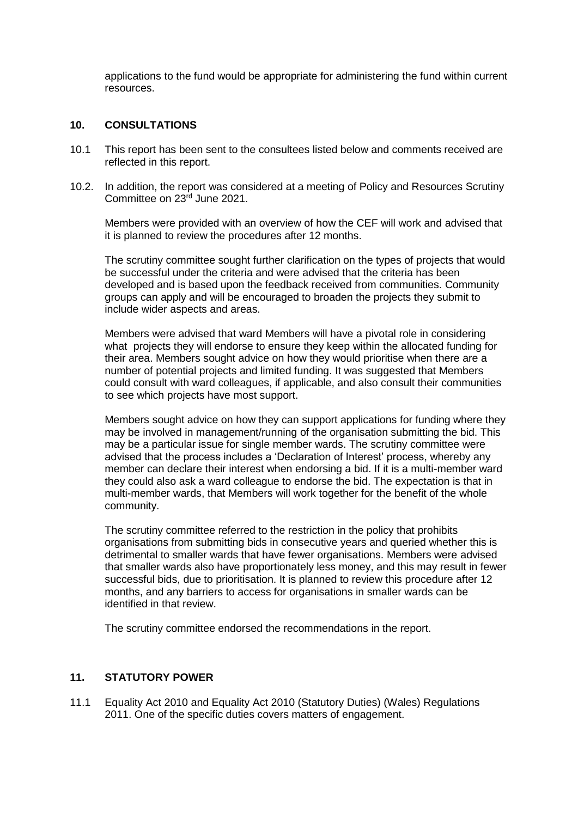applications to the fund would be appropriate for administering the fund within current resources.

#### **10. CONSULTATIONS**

- 10.1 This report has been sent to the consultees listed below and comments received are reflected in this report.
- 10.2. In addition, the report was considered at a meeting of Policy and Resources Scrutiny Committee on 23rd June 2021.

Members were provided with an overview of how the CEF will work and advised that it is planned to review the procedures after 12 months.

The scrutiny committee sought further clarification on the types of projects that would be successful under the criteria and were advised that the criteria has been developed and is based upon the feedback received from communities. Community groups can apply and will be encouraged to broaden the projects they submit to include wider aspects and areas.

Members were advised that ward Members will have a pivotal role in considering what projects they will endorse to ensure they keep within the allocated funding for their area. Members sought advice on how they would prioritise when there are a number of potential projects and limited funding. It was suggested that Members could consult with ward colleagues, if applicable, and also consult their communities to see which projects have most support.

Members sought advice on how they can support applications for funding where they may be involved in management/running of the organisation submitting the bid. This may be a particular issue for single member wards. The scrutiny committee were advised that the process includes a 'Declaration of Interest' process, whereby any member can declare their interest when endorsing a bid. If it is a multi-member ward they could also ask a ward colleague to endorse the bid. The expectation is that in multi-member wards, that Members will work together for the benefit of the whole community.

The scrutiny committee referred to the restriction in the policy that prohibits organisations from submitting bids in consecutive years and queried whether this is detrimental to smaller wards that have fewer organisations. Members were advised that smaller wards also have proportionately less money, and this may result in fewer successful bids, due to prioritisation. It is planned to review this procedure after 12 months, and any barriers to access for organisations in smaller wards can be identified in that review.

The scrutiny committee endorsed the recommendations in the report.

## **11. STATUTORY POWER**

11.1 Equality Act 2010 and Equality Act 2010 (Statutory Duties) (Wales) Regulations 2011. One of the specific duties covers matters of engagement.